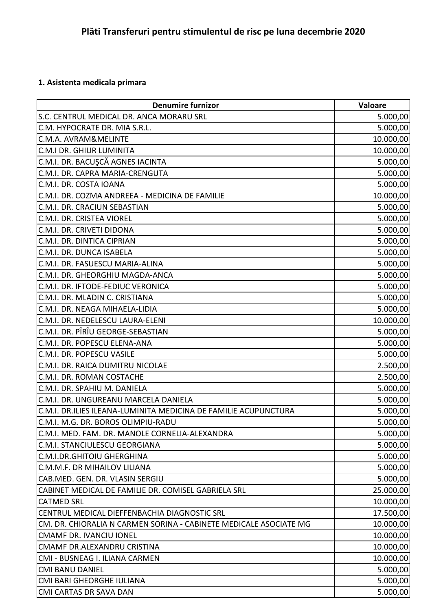## **1. Asistenta medicala primara**

| <b>Denumire furnizor</b>                                          | <b>Valoare</b> |
|-------------------------------------------------------------------|----------------|
| S.C. CENTRUL MEDICAL DR. ANCA MORARU SRL                          | 5.000,00       |
| C.M. HYPOCRATE DR. MIA S.R.L.                                     | 5.000,00       |
| C.M.A. AVRAM&MELINTE                                              | 10.000,00      |
| <b>C.M.I DR. GHIUR LUMINITA</b>                                   | 10.000,00      |
| C.M.I. DR. BACUŞCĂ AGNES IACINTA                                  | 5.000,00       |
| C.M.I. DR. CAPRA MARIA-CRENGUTA                                   | 5.000,00       |
| C.M.I. DR. COSTA IOANA                                            | 5.000,00       |
| C.M.I. DR. COZMA ANDREEA - MEDICINA DE FAMILIE                    | 10.000,00      |
| C.M.I. DR. CRACIUN SEBASTIAN                                      | 5.000,00       |
| <b>C.M.I. DR. CRISTEA VIOREL</b>                                  | 5.000,00       |
| C.M.I. DR. CRIVETI DIDONA                                         | 5.000,00       |
| C.M.I. DR. DINTICA CIPRIAN                                        | 5.000,00       |
| C.M.I. DR. DUNCA ISABELA                                          | 5.000,00       |
| C.M.I. DR. FASUESCU MARIA-ALINA                                   | 5.000,00       |
| C.M.I. DR. GHEORGHIU MAGDA-ANCA                                   | 5.000,00       |
| C.M.I. DR. IFTODE-FEDIUC VERONICA                                 | 5.000,00       |
| C.M.I. DR. MLADIN C. CRISTIANA                                    | 5.000,00       |
| C.M.I. DR. NEAGA MIHAELA-LIDIA                                    | 5.000,00       |
| C.M.I. DR. NEDELESCU LAURA-ELENI                                  | 10.000,00      |
| C.M.I. DR. PÎRÎU GEORGE-SEBASTIAN                                 | 5.000,00       |
| C.M.I. DR. POPESCU ELENA-ANA                                      | 5.000,00       |
| C.M.I. DR. POPESCU VASILE                                         | 5.000,00       |
| C.M.I. DR. RAICA DUMITRU NICOLAE                                  | 2.500,00       |
| C.M.I. DR. ROMAN COSTACHE                                         | 2.500,00       |
| C.M.I. DR. SPAHIU M. DANIELA                                      | 5.000,00       |
| C.M.I. DR. UNGUREANU MARCELA DANIELA                              | 5.000,00       |
| C.M.I. DR.ILIES ILEANA-LUMINITA MEDICINA DE FAMILIE ACUPUNCTURA   | 5.000,00       |
| C.M.I. M.G. DR. BOROS OLIMPIU-RADU                                | 5.000,00       |
| C.M.I. MED. FAM. DR. MANOLE CORNELIA-ALEXANDRA                    | 5.000,00       |
| C.M.I. STANCIULESCU GEORGIANA                                     | 5.000,00       |
| <b>C.M.I.DR.GHITOIU GHERGHINA</b>                                 | 5.000,00       |
| C.M.M.F. DR MIHAILOV LILIANA                                      | 5.000,00       |
| CAB.MED. GEN. DR. VLASIN SERGIU                                   | 5.000,00       |
| CABINET MEDICAL DE FAMILIE DR. COMISEL GABRIELA SRL               | 25.000,00      |
| <b>CATMED SRL</b>                                                 | 10.000,00      |
| CENTRUL MEDICAL DIEFFENBACHIA DIAGNOSTIC SRL                      | 17.500,00      |
| CM. DR. CHIORALIA N CARMEN SORINA - CABINETE MEDICALE ASOCIATE MG | 10.000,00      |
| <b>CMAMF DR. IVANCIU IONEL</b>                                    | 10.000,00      |
| CMAMF DR.ALEXANDRU CRISTINA                                       | 10.000,00      |
| CMI - BUSNEAG I. ILIANA CARMEN                                    | 10.000,00      |
| <b>CMI BANU DANIEL</b>                                            | 5.000,00       |
| CMI BARI GHEORGHE IULIANA                                         | 5.000,00       |
| CMI CARTAS DR SAVA DAN                                            | 5.000,00       |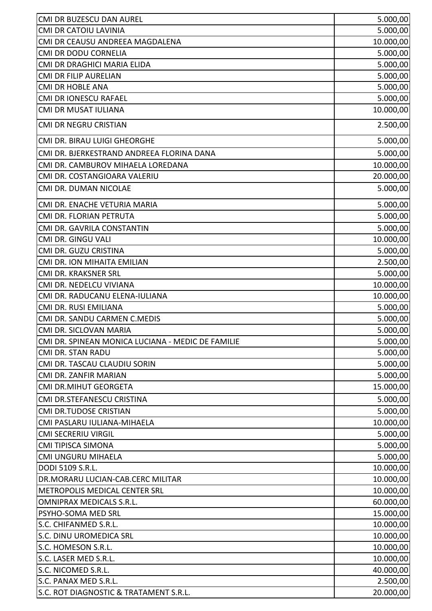| CMI DR BUZESCU DAN AUREL                          | 5.000,00  |
|---------------------------------------------------|-----------|
| CMI DR CATOIU LAVINIA                             | 5.000,00  |
| CMI DR CEAUSU ANDREEA MAGDALENA                   | 10.000,00 |
| CMI DR DODU CORNELIA                              | 5.000,00  |
| CMI DR DRAGHICI MARIA ELIDA                       | 5.000,00  |
| CMI DR FILIP AURELIAN                             | 5.000,00  |
| <b>CMI DR HOBLE ANA</b>                           | 5.000,00  |
| CMI DR IONESCU RAFAEL                             | 5.000,00  |
| CMI DR MUSAT IULIANA                              | 10.000,00 |
| CMI DR NEGRU CRISTIAN                             | 2.500,00  |
| CMI DR. BIRAU LUIGI GHEORGHE                      | 5.000,00  |
| CMI DR. BJERKESTRAND ANDREEA FLORINA DANA         | 5.000,00  |
| CMI DR. CAMBUROV MIHAELA LOREDANA                 | 10.000,00 |
| CMI DR. COSTANGIOARA VALERIU                      | 20.000,00 |
| CMI DR. DUMAN NICOLAE                             | 5.000,00  |
| CMI DR. ENACHE VETURIA MARIA                      | 5.000,00  |
| CMI DR. FLORIAN PETRUTA                           | 5.000,00  |
| CMI DR. GAVRILA CONSTANTIN                        | 5.000,00  |
| CMI DR. GINGU VALI                                | 10.000,00 |
| CMI DR. GUZU CRISTINA                             | 5.000,00  |
| CMI DR. ION MIHAITA EMILIAN                       | 2.500,00  |
| CMI DR. KRAKSNER SRL                              | 5.000,00  |
| CMI DR. NEDELCU VIVIANA                           | 10.000,00 |
| CMI DR. RADUCANU ELENA-IULIANA                    | 10.000,00 |
| CMI DR. RUSI EMILIANA                             | 5.000,00  |
| CMI DR. SANDU CARMEN C.MEDIS                      | 5.000,00  |
| CMI DR. SICLOVAN MARIA                            | 5.000,00  |
| CMI DR. SPINEAN MONICA LUCIANA - MEDIC DE FAMILIE | 5.000,00  |
| <b>CMI DR. STAN RADU</b>                          | 5.000,00  |
| CMI DR. TASCAU CLAUDIU SORIN                      | 5.000,00  |
| CMI DR. ZANFIR MARIAN                             | 5.000,00  |
| <b>CMI DR.MIHUT GEORGETA</b>                      | 15.000,00 |
| CMI DR.STEFANESCU CRISTINA                        | 5.000,00  |
| <b>CMI DR.TUDOSE CRISTIAN</b>                     | 5.000,00  |
| CMI PASLARU IULIANA-MIHAELA                       | 10.000,00 |
| <b>CMI SECRERIU VIRGIL</b>                        | 5.000,00  |
| <b>CMI TIPISCA SIMONA</b>                         | 5.000,00  |
| CMI UNGURU MIHAELA                                | 5.000,00  |
| DODI 5109 S.R.L.                                  | 10.000,00 |
| DR.MORARU LUCIAN-CAB.CERC MILITAR                 | 10.000,00 |
| METROPOLIS MEDICAL CENTER SRL                     | 10.000,00 |
| <b>OMNIPRAX MEDICALS S.R.L.</b>                   | 60.000,00 |
| PSYHO-SOMA MED SRL                                | 15.000,00 |
| S.C. CHIFANMED S.R.L.                             | 10.000,00 |
| S.C. DINU UROMEDICA SRL                           | 10.000,00 |
| S.C. HOMESON S.R.L.                               | 10.000,00 |
| S.C. LASER MED S.R.L.                             | 10.000,00 |
| S.C. NICOMED S.R.L.                               | 40.000,00 |
| S.C. PANAX MED S.R.L.                             | 2.500,00  |
| S.C. ROT DIAGNOSTIC & TRATAMENT S.R.L.            | 20.000,00 |